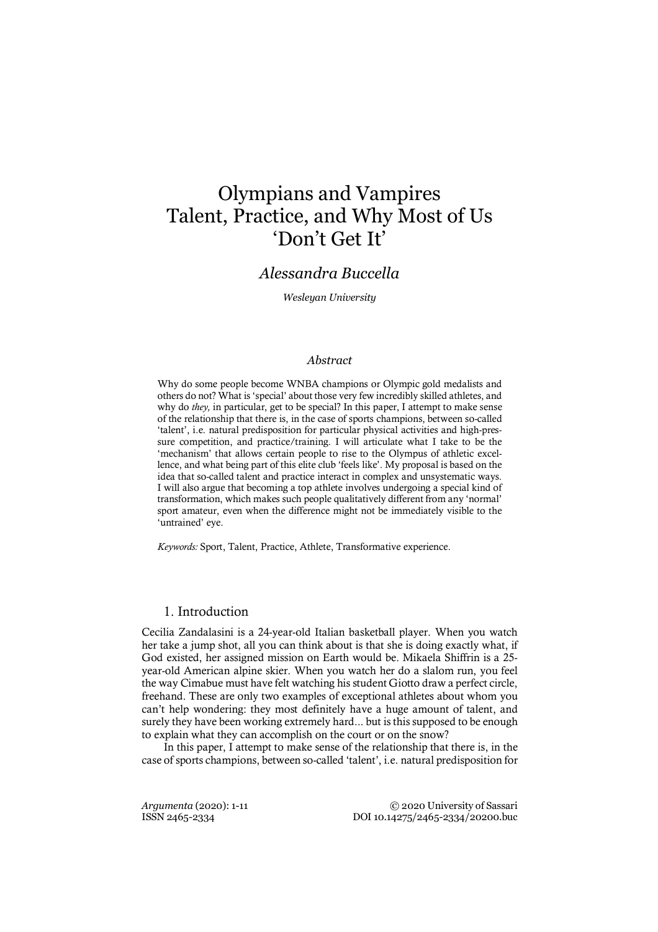# Olympians and Vampires Talent, Practice, and Why Most of Us 'Don't Get It'

## *Alessandra Buccella*

*Wesleyan University*

## *Abstract*

Why do some people become WNBA champions or Olympic gold medalists and others do not? What is 'special' about those very few incredibly skilled athletes, and why do *they,* in particular, get to be special? In this paper, I attempt to make sense of the relationship that there is, in the case of sports champions, between so-called 'talent', i.e. natural predisposition for particular physical activities and high-pressure competition, and practice/training. I will articulate what I take to be the 'mechanism' that allows certain people to rise to the Olympus of athletic excellence, and what being part of this elite club 'feels like'. My proposal is based on the idea that so-called talent and practice interact in complex and unsystematic ways. I will also argue that becoming a top athlete involves undergoing a special kind of transformation, which makes such people qualitatively different from any 'normal' sport amateur, even when the difference might not be immediately visible to the 'untrained' eve.

*Keywords:* Sport, Talent, Practice, Athlete, Transformative experience.

## 1. Introduction

Cecilia Zandalasini is a 24-year-old Italian basketball player. When you watch her take a jump shot, all you can think about is that she is doing exactly what, if God existed, her assigned mission on Earth would be. Mikaela Shiffrin is a 25 year-old American alpine skier. When you watch her do a slalom run, you feel the way Cimabue must have felt watching his student Giotto draw a perfect circle, freehand. These are only two examples of exceptional athletes about whom you can't help wondering: they most definitely have a huge amount of talent, and surely they have been working extremely hard... but is this supposed to be enough to explain what they can accomplish on the court or on the snow?

In this paper, I attempt to make sense of the relationship that there is, in the case of sports champions, between so-called 'talent', i.e. natural predisposition for

*Argumenta* (2020): 1-11 © 2020 University of Sassari ISSN 2465-2334 DOI 10.14275/2465-2334/20200.buc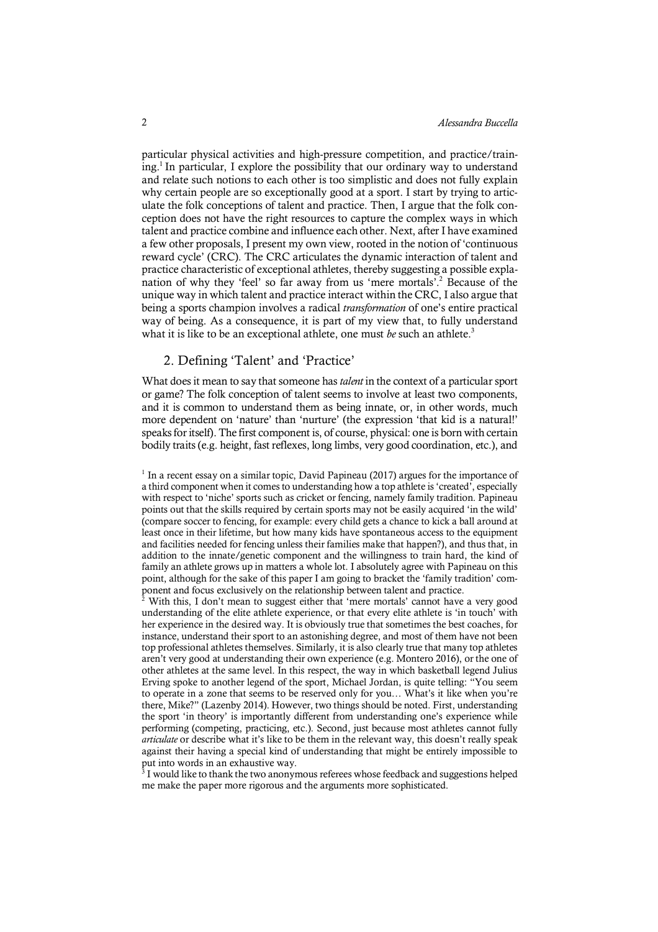particular physical activities and high-pressure competition, and practice/training. <sup>1</sup> In particular, I explore the possibility that our ordinary way to understand and relate such notions to each other is too simplistic and does not fully explain why certain people are so exceptionally good at a sport. I start by trying to articulate the folk conceptions of talent and practice. Then, I argue that the folk conception does not have the right resources to capture the complex ways in which talent and practice combine and influence each other. Next, after I have examined a few other proposals, I present my own view, rooted in the notion of 'continuous reward cycle' (CRC). The CRC articulates the dynamic interaction of talent and practice characteristic of exceptional athletes, thereby suggesting a possible explanation of why they 'feel' so far away from us 'mere mortals'.2 Because of the unique way in which talent and practice interact within the CRC, I also argue that being a sports champion involves a radical *transformation* of one's entire practical way of being. As a consequence, it is part of my view that, to fully understand what it is like to be an exceptional athlete, one must *be* such an athlete. 3

## 2. Defining 'Talent' and 'Practice'

What does it mean to say that someone has *talent* in the context of a particular sport or game? The folk conception of talent seems to involve at least two components, and it is common to understand them as being innate, or, in other words, much more dependent on 'nature' than 'nurture' (the expression 'that kid is a natural!' speaks for itself). The first component is, of course, physical: one is born with certain bodily traits (e.g. height, fast reflexes, long limbs, very good coordination, etc.), and

<sup>2</sup> With this, I don't mean to suggest either that 'mere mortals' cannot have a very good understanding of the elite athlete experience, or that every elite athlete is 'in touch' with her experience in the desired way. It is obviously true that sometimes the best coaches, for instance, understand their sport to an astonishing degree, and most of them have not been top professional athletes themselves. Similarly, it is also clearly true that many top athletes aren't very good at understanding their own experience (e.g. Montero 2016), or the one of other athletes at the same level. In this respect, the way in which basketball legend Julius Erving spoke to another legend of the sport, Michael Jordan, is quite telling: "You seem to operate in a zone that seems to be reserved only for you… What's it like when you're there, Mike?" (Lazenby 2014). However, two things should be noted. First, understanding the sport 'in theory' is importantly different from understanding one's experience while performing (competing, practicing, etc.). Second, just because most athletes cannot fully *articulate* or describe what it's like to be them in the relevant way, this doesn't really speak against their having a special kind of understanding that might be entirely impossible to put into words in an exhaustive way.

 $3$  I would like to thank the two anonymous referees whose feedback and suggestions helped me make the paper more rigorous and the arguments more sophisticated.

<sup>1</sup> In a recent essay on a similar topic, David Papineau (2017) argues for the importance of a third component when it comes to understanding how a top athlete is 'created', especially with respect to 'niche' sports such as cricket or fencing, namely family tradition. Papineau points out that the skills required by certain sports may not be easily acquired 'in the wild' (compare soccer to fencing, for example: every child gets a chance to kick a ball around at least once in their lifetime, but how many kids have spontaneous access to the equipment and facilities needed for fencing unless their families make that happen?), and thus that, in addition to the innate/genetic component and the willingness to train hard, the kind of family an athlete grows up in matters a whole lot. I absolutely agree with Papineau on this point, although for the sake of this paper I am going to bracket the 'family tradition' component and focus exclusively on the relationship between talent and practice.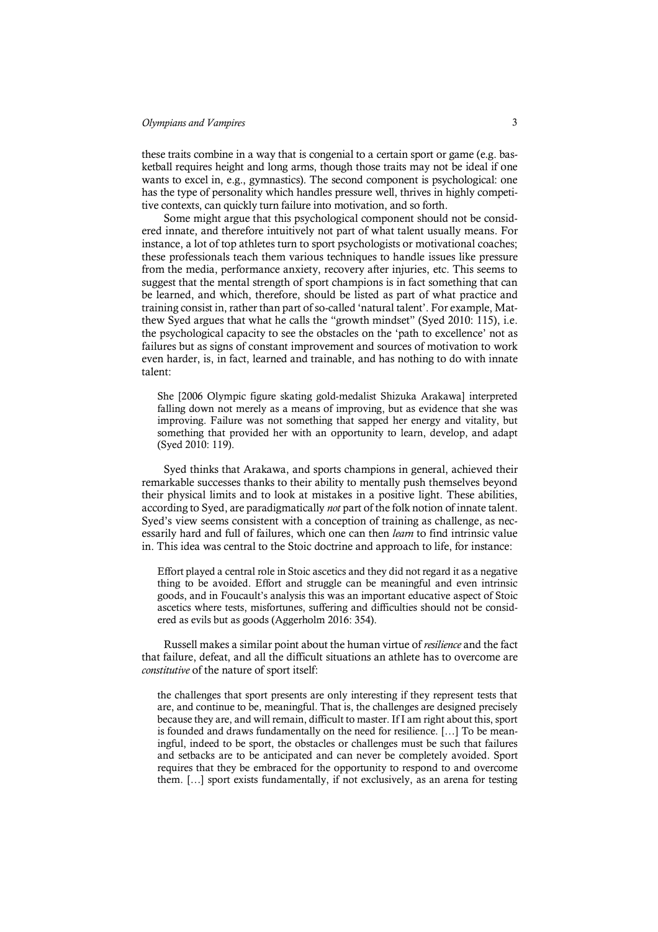these traits combine in a way that is congenial to a certain sport or game (e.g. basketball requires height and long arms, though those traits may not be ideal if one wants to excel in, e.g., gymnastics). The second component is psychological: one has the type of personality which handles pressure well, thrives in highly competitive contexts, can quickly turn failure into motivation, and so forth.

Some might argue that this psychological component should not be considered innate, and therefore intuitively not part of what talent usually means. For instance, a lot of top athletes turn to sport psychologists or motivational coaches; these professionals teach them various techniques to handle issues like pressure from the media, performance anxiety, recovery after injuries, etc. This seems to suggest that the mental strength of sport champions is in fact something that can be learned, and which, therefore, should be listed as part of what practice and training consist in, rather than part of so-called 'natural talent'. For example, Matthew Syed argues that what he calls the "growth mindset" (Syed 2010: 115), i.e. the psychological capacity to see the obstacles on the 'path to excellence' not as failures but as signs of constant improvement and sources of motivation to work even harder, is, in fact, learned and trainable, and has nothing to do with innate talent:

She [2006 Olympic figure skating gold-medalist Shizuka Arakawa] interpreted falling down not merely as a means of improving, but as evidence that she was improving. Failure was not something that sapped her energy and vitality, but something that provided her with an opportunity to learn, develop, and adapt (Syed 2010: 119).

Syed thinks that Arakawa, and sports champions in general, achieved their remarkable successes thanks to their ability to mentally push themselves beyond their physical limits and to look at mistakes in a positive light. These abilities, according to Syed, are paradigmatically *not* part of the folk notion of innate talent. Syed's view seems consistent with a conception of training as challenge, as necessarily hard and full of failures, which one can then *learn* to find intrinsic value in. This idea was central to the Stoic doctrine and approach to life, for instance:

Effort played a central role in Stoic ascetics and they did not regard it as a negative thing to be avoided. Effort and struggle can be meaningful and even intrinsic goods, and in Foucault's analysis this was an important educative aspect of Stoic ascetics where tests, misfortunes, suffering and difficulties should not be considered as evils but as goods (Aggerholm 2016: 354).

Russell makes a similar point about the human virtue of *resilience* and the fact that failure, defeat, and all the difficult situations an athlete has to overcome are *constitutive* of the nature of sport itself:

the challenges that sport presents are only interesting if they represent tests that are, and continue to be, meaningful. That is, the challenges are designed precisely because they are, and will remain, difficult to master. If I am right about this, sport is founded and draws fundamentally on the need for resilience. […] To be meaningful, indeed to be sport, the obstacles or challenges must be such that failures and setbacks are to be anticipated and can never be completely avoided. Sport requires that they be embraced for the opportunity to respond to and overcome them. […] sport exists fundamentally, if not exclusively, as an arena for testing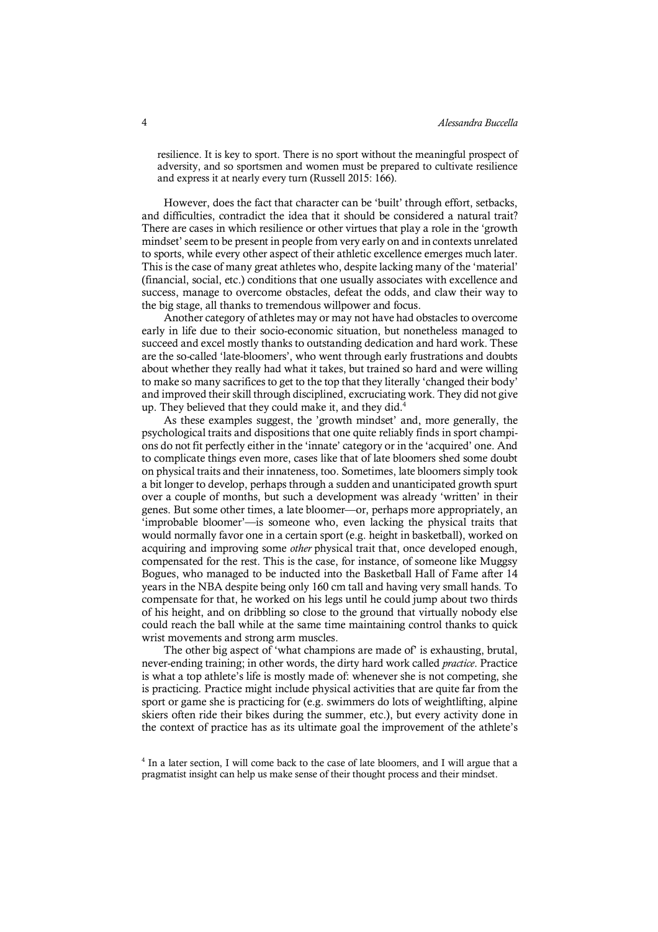resilience. It is key to sport. There is no sport without the meaningful prospect of adversity, and so sportsmen and women must be prepared to cultivate resilience and express it at nearly every turn (Russell 2015: 166).

However, does the fact that character can be 'built' through effort, setbacks, and difficulties, contradict the idea that it should be considered a natural trait? There are cases in which resilience or other virtues that play a role in the 'growth mindset' seem to be present in people from very early on and in contexts unrelated to sports, while every other aspect of their athletic excellence emerges much later. This is the case of many great athletes who, despite lacking many of the 'material' (financial, social, etc.) conditions that one usually associates with excellence and success, manage to overcome obstacles, defeat the odds, and claw their way to the big stage, all thanks to tremendous willpower and focus.

Another category of athletes may or may not have had obstacles to overcome early in life due to their socio-economic situation, but nonetheless managed to succeed and excel mostly thanks to outstanding dedication and hard work. These are the so-called 'late-bloomers', who went through early frustrations and doubts about whether they really had what it takes, but trained so hard and were willing to make so many sacrifices to get to the top that they literally 'changed their body' and improved their skill through disciplined, excruciating work. They did not give up. They believed that they could make it, and they did.<sup>4</sup>

As these examples suggest, the 'growth mindset' and, more generally, the psychological traits and dispositions that one quite reliably finds in sport champions do not fit perfectly either in the 'innate' category or in the 'acquired' one. And to complicate things even more, cases like that of late bloomers shed some doubt on physical traits and their innateness, too. Sometimes, late bloomers simply took a bit longer to develop, perhaps through a sudden and unanticipated growth spurt over a couple of months, but such a development was already 'written' in their genes. But some other times, a late bloomer—or, perhaps more appropriately, an 'improbable bloomer'—is someone who, even lacking the physical traits that would normally favor one in a certain sport (e.g. height in basketball), worked on acquiring and improving some *other* physical trait that, once developed enough, compensated for the rest. This is the case, for instance, of someone like Muggsy Bogues, who managed to be inducted into the Basketball Hall of Fame after 14 years in the NBA despite being only 160 cm tall and having very small hands. To compensate for that, he worked on his legs until he could jump about two thirds of his height, and on dribbling so close to the ground that virtually nobody else could reach the ball while at the same time maintaining control thanks to quick wrist movements and strong arm muscles.

The other big aspect of 'what champions are made of' is exhausting, brutal, never-ending training; in other words, the dirty hard work called *practice*. Practice is what a top athlete's life is mostly made of: whenever she is not competing, she is practicing. Practice might include physical activities that are quite far from the sport or game she is practicing for (e.g. swimmers do lots of weightlifting, alpine skiers often ride their bikes during the summer, etc.), but every activity done in the context of practice has as its ultimate goal the improvement of the athlete's

<sup>&</sup>lt;sup>4</sup> In a later section, I will come back to the case of late bloomers, and I will argue that a pragmatist insight can help us make sense of their thought process and their mindset.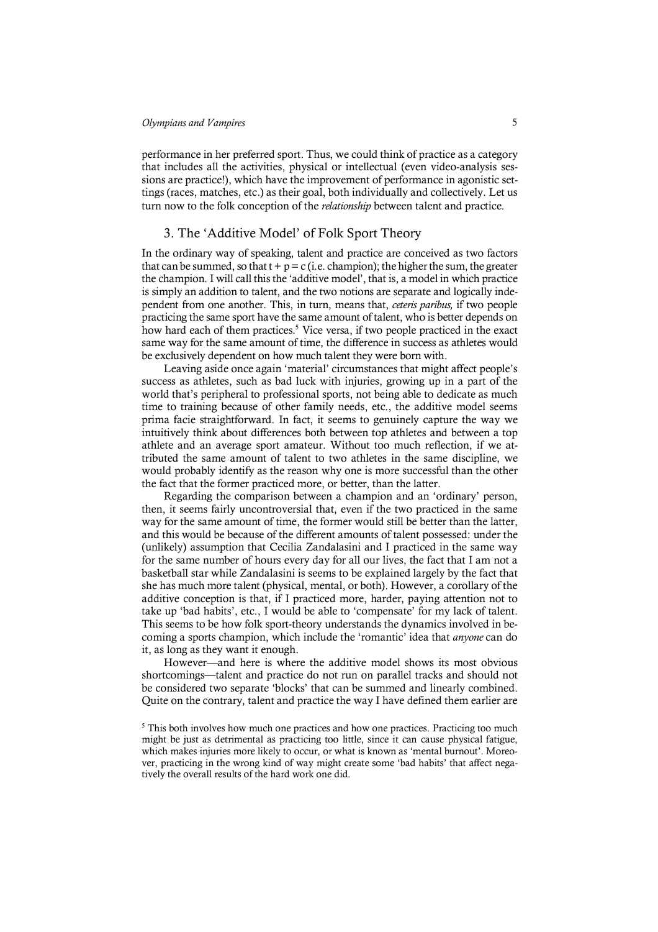performance in her preferred sport. Thus, we could think of practice as a category that includes all the activities, physical or intellectual (even video-analysis sessions are practice!), which have the improvement of performance in agonistic settings (races, matches, etc.) as their goal, both individually and collectively. Let us turn now to the folk conception of the *relationship* between talent and practice.

## 3. The 'Additive Model' of Folk Sport Theory

In the ordinary way of speaking, talent and practice are conceived as two factors that can be summed, so that  $t + p = c$  (i.e. champion); the higher the sum, the greater the champion. I will call this the 'additive model', that is, a model in which practice is simply an addition to talent, and the two notions are separate and logically independent from one another. This, in turn, means that, *ceteris paribus,* if two people practicing the same sport have the same amount of talent, who is better depends on how hard each of them practices.<sup>5</sup> Vice versa, if two people practiced in the exact same way for the same amount of time, the difference in success as athletes would be exclusively dependent on how much talent they were born with.

Leaving aside once again 'material' circumstances that might affect people's success as athletes, such as bad luck with injuries, growing up in a part of the world that's peripheral to professional sports, not being able to dedicate as much time to training because of other family needs, etc., the additive model seems prima facie straightforward. In fact, it seems to genuinely capture the way we intuitively think about differences both between top athletes and between a top athlete and an average sport amateur. Without too much reflection, if we attributed the same amount of talent to two athletes in the same discipline, we would probably identify as the reason why one is more successful than the other the fact that the former practiced more, or better, than the latter.

Regarding the comparison between a champion and an 'ordinary' person, then, it seems fairly uncontroversial that, even if the two practiced in the same way for the same amount of time, the former would still be better than the latter, and this would be because of the different amounts of talent possessed: under the (unlikely) assumption that Cecilia Zandalasini and I practiced in the same way for the same number of hours every day for all our lives, the fact that I am not a basketball star while Zandalasini is seems to be explained largely by the fact that she has much more talent (physical, mental, or both). However, a corollary of the additive conception is that, if I practiced more, harder, paying attention not to take up 'bad habits', etc., I would be able to 'compensate' for my lack of talent. This seems to be how folk sport-theory understands the dynamics involved in becoming a sports champion, which include the 'romantic' idea that *anyone* can do it, as long as they want it enough.

However—and here is where the additive model shows its most obvious shortcomings—talent and practice do not run on parallel tracks and should not be considered two separate 'blocks' that can be summed and linearly combined. Quite on the contrary, talent and practice the way I have defined them earlier are

<sup>&</sup>lt;sup>5</sup> This both involves how much one practices and how one practices. Practicing too much might be just as detrimental as practicing too little, since it can cause physical fatigue, which makes injuries more likely to occur, or what is known as 'mental burnout'. Moreover, practicing in the wrong kind of way might create some 'bad habits' that affect negatively the overall results of the hard work one did.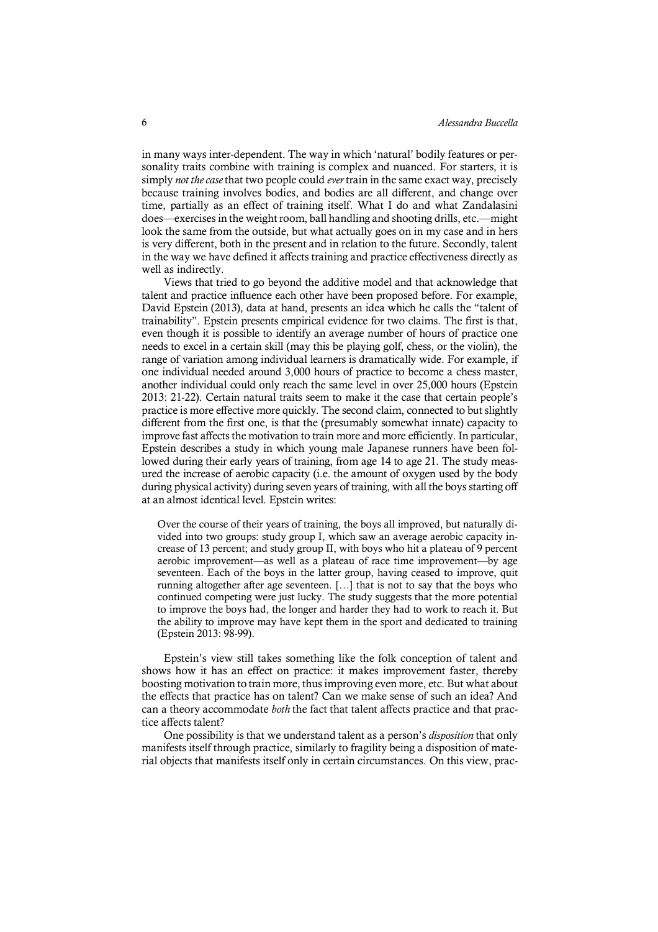in many ways inter-dependent. The way in which 'natural' bodily features or personality traits combine with training is complex and nuanced. For starters, it is simply *not the case* that two people could *ever* train in the same exact way, precisely because training involves bodies, and bodies are all different, and change over time, partially as an effect of training itself. What I do and what Zandalasini does—exercises in the weight room, ball handling and shooting drills, etc.—might look the same from the outside, but what actually goes on in my case and in hers is very different, both in the present and in relation to the future. Secondly, talent in the way we have defined it affects training and practice effectiveness directly as well as indirectly.

Views that tried to go beyond the additive model and that acknowledge that talent and practice influence each other have been proposed before. For example, David Epstein (2013), data at hand, presents an idea which he calls the "talent of trainability". Epstein presents empirical evidence for two claims. The first is that, even though it is possible to identify an average number of hours of practice one needs to excel in a certain skill (may this be playing golf, chess, or the violin), the range of variation among individual learners is dramatically wide. For example, if one individual needed around 3,000 hours of practice to become a chess master, another individual could only reach the same level in over 25,000 hours (Epstein 2013: 21-22). Certain natural traits seem to make it the case that certain people's practice is more effective more quickly. The second claim, connected to but slightly different from the first one, is that the (presumably somewhat innate) capacity to improve fast affects the motivation to train more and more efficiently. In particular, Epstein describes a study in which young male Japanese runners have been followed during their early years of training, from age 14 to age 21. The study measured the increase of aerobic capacity (i.e. the amount of oxygen used by the body during physical activity) during seven years of training, with all the boys starting off at an almost identical level. Epstein writes:

Over the course of their years of training, the boys all improved, but naturally divided into two groups: study group I, which saw an average aerobic capacity increase of 13 percent; and study group II, with boys who hit a plateau of 9 percent aerobic improvement—as well as a plateau of race time improvement—by age seventeen. Each of the boys in the latter group, having ceased to improve, quit running altogether after age seventeen. […] that is not to say that the boys who continued competing were just lucky. The study suggests that the more potential to improve the boys had, the longer and harder they had to work to reach it. But the ability to improve may have kept them in the sport and dedicated to training (Epstein 2013: 98-99).

Epstein's view still takes something like the folk conception of talent and shows how it has an effect on practice: it makes improvement faster, thereby boosting motivation to train more, thus improving even more, etc. But what about the effects that practice has on talent? Can we make sense of such an idea? And can a theory accommodate *both* the fact that talent affects practice and that practice affects talent?

One possibility is that we understand talent as a person's *disposition* that only manifests itself through practice, similarly to fragility being a disposition of material objects that manifests itself only in certain circumstances. On this view, prac-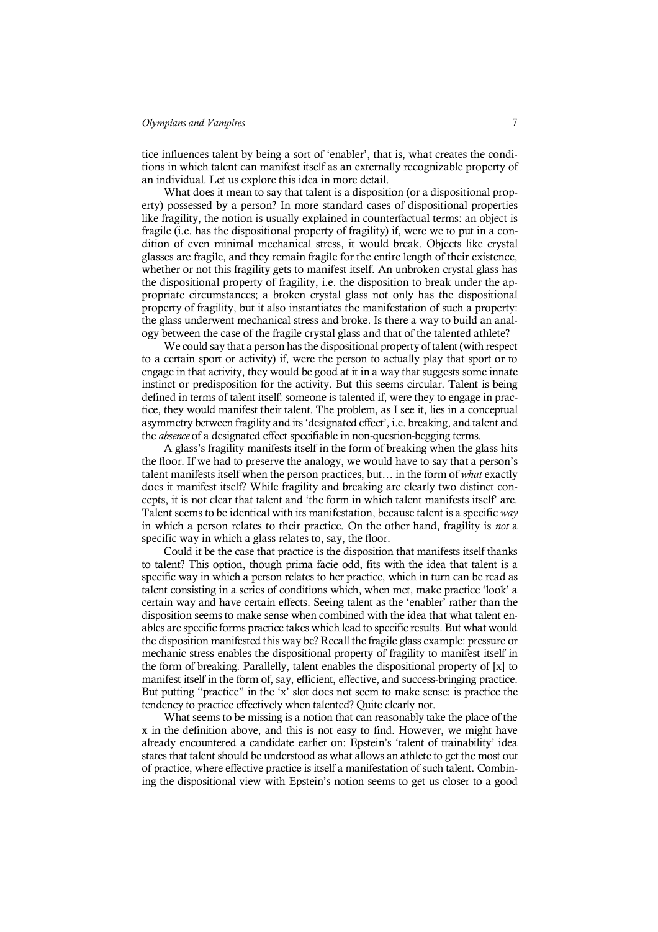tice influences talent by being a sort of 'enabler', that is, what creates the conditions in which talent can manifest itself as an externally recognizable property of an individual. Let us explore this idea in more detail.

What does it mean to say that talent is a disposition (or a dispositional property) possessed by a person? In more standard cases of dispositional properties like fragility, the notion is usually explained in counterfactual terms: an object is fragile (i.e. has the dispositional property of fragility) if, were we to put in a condition of even minimal mechanical stress, it would break. Objects like crystal glasses are fragile, and they remain fragile for the entire length of their existence, whether or not this fragility gets to manifest itself. An unbroken crystal glass has the dispositional property of fragility, i.e. the disposition to break under the appropriate circumstances; a broken crystal glass not only has the dispositional property of fragility, but it also instantiates the manifestation of such a property: the glass underwent mechanical stress and broke. Is there a way to build an analogy between the case of the fragile crystal glass and that of the talented athlete?

We could say that a person has the dispositional property of talent (with respect to a certain sport or activity) if, were the person to actually play that sport or to engage in that activity, they would be good at it in a way that suggests some innate instinct or predisposition for the activity. But this seems circular. Talent is being defined in terms of talent itself: someone is talented if, were they to engage in practice, they would manifest their talent. The problem, as I see it, lies in a conceptual asymmetry between fragility and its 'designated effect', i.e. breaking, and talent and the *absence* of a designated effect specifiable in non-question-begging terms.

A glass's fragility manifests itself in the form of breaking when the glass hits the floor. If we had to preserve the analogy, we would have to say that a person's talent manifests itself when the person practices, but… in the form of *what* exactly does it manifest itself? While fragility and breaking are clearly two distinct concepts, it is not clear that talent and 'the form in which talent manifests itself' are. Talent seems to be identical with its manifestation, because talent is a specific *way* in which a person relates to their practice. On the other hand, fragility is *not* a specific way in which a glass relates to, say, the floor.

Could it be the case that practice is the disposition that manifests itself thanks to talent? This option, though prima facie odd, fits with the idea that talent is a specific way in which a person relates to her practice, which in turn can be read as talent consisting in a series of conditions which, when met, make practice 'look' a certain way and have certain effects. Seeing talent as the 'enabler' rather than the disposition seems to make sense when combined with the idea that what talent enables are specific forms practice takes which lead to specific results. But what would the disposition manifested this way be? Recall the fragile glass example: pressure or mechanic stress enables the dispositional property of fragility to manifest itself in the form of breaking. Parallelly, talent enables the dispositional property of [x] to manifest itself in the form of, say, efficient, effective, and success-bringing practice. But putting "practice" in the 'x' slot does not seem to make sense: is practice the tendency to practice effectively when talented? Quite clearly not.

What seems to be missing is a notion that can reasonably take the place of the x in the definition above, and this is not easy to find. However, we might have already encountered a candidate earlier on: Epstein's 'talent of trainability' idea states that talent should be understood as what allows an athlete to get the most out of practice, where effective practice is itself a manifestation of such talent. Combining the dispositional view with Epstein's notion seems to get us closer to a good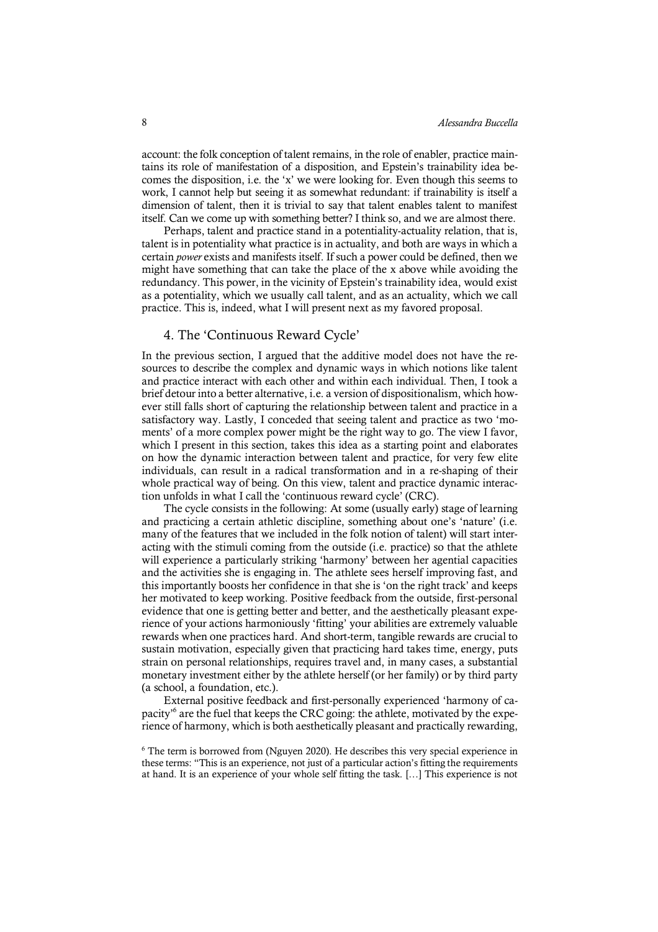account: the folk conception of talent remains, in the role of enabler, practice maintains its role of manifestation of a disposition, and Epstein's trainability idea becomes the disposition, i.e. the 'x' we were looking for. Even though this seems to work, I cannot help but seeing it as somewhat redundant: if trainability is itself a dimension of talent, then it is trivial to say that talent enables talent to manifest itself. Can we come up with something better? I think so, and we are almost there.

Perhaps, talent and practice stand in a potentiality-actuality relation, that is, talent is in potentiality what practice is in actuality, and both are ways in which a certain *power* exists and manifests itself. If such a power could be defined, then we might have something that can take the place of the x above while avoiding the redundancy. This power, in the vicinity of Epstein's trainability idea, would exist as a potentiality, which we usually call talent, and as an actuality, which we call practice. This is, indeed, what I will present next as my favored proposal.

## 4. The 'Continuous Reward Cycle'

In the previous section, I argued that the additive model does not have the resources to describe the complex and dynamic ways in which notions like talent and practice interact with each other and within each individual. Then, I took a brief detour into a better alternative, i.e. a version of dispositionalism, which however still falls short of capturing the relationship between talent and practice in a satisfactory way. Lastly, I conceded that seeing talent and practice as two 'moments' of a more complex power might be the right way to go. The view I favor, which I present in this section, takes this idea as a starting point and elaborates on how the dynamic interaction between talent and practice, for very few elite individuals, can result in a radical transformation and in a re-shaping of their whole practical way of being. On this view, talent and practice dynamic interaction unfolds in what I call the 'continuous reward cycle' (CRC).

The cycle consists in the following: At some (usually early) stage of learning and practicing a certain athletic discipline, something about one's 'nature' (i.e. many of the features that we included in the folk notion of talent) will start interacting with the stimuli coming from the outside (i.e. practice) so that the athlete will experience a particularly striking 'harmony' between her agential capacities and the activities she is engaging in. The athlete sees herself improving fast, and this importantly boosts her confidence in that she is 'on the right track' and keeps her motivated to keep working. Positive feedback from the outside, first-personal evidence that one is getting better and better, and the aesthetically pleasant experience of your actions harmoniously 'fitting' your abilities are extremely valuable rewards when one practices hard. And short-term, tangible rewards are crucial to sustain motivation, especially given that practicing hard takes time, energy, puts strain on personal relationships, requires travel and, in many cases, a substantial monetary investment either by the athlete herself (or her family) or by third party (a school, a foundation, etc.).

External positive feedback and first-personally experienced 'harmony of capacity'6 are the fuel that keeps the CRC going: the athlete, motivated by the experience of harmony, which is both aesthetically pleasant and practically rewarding,

<sup>6</sup> The term is borrowed from (Nguyen 2020). He describes this very special experience in these terms: "This is an experience, not just of a particular action's fitting the requirements at hand. It is an experience of your whole self fitting the task. […] This experience is not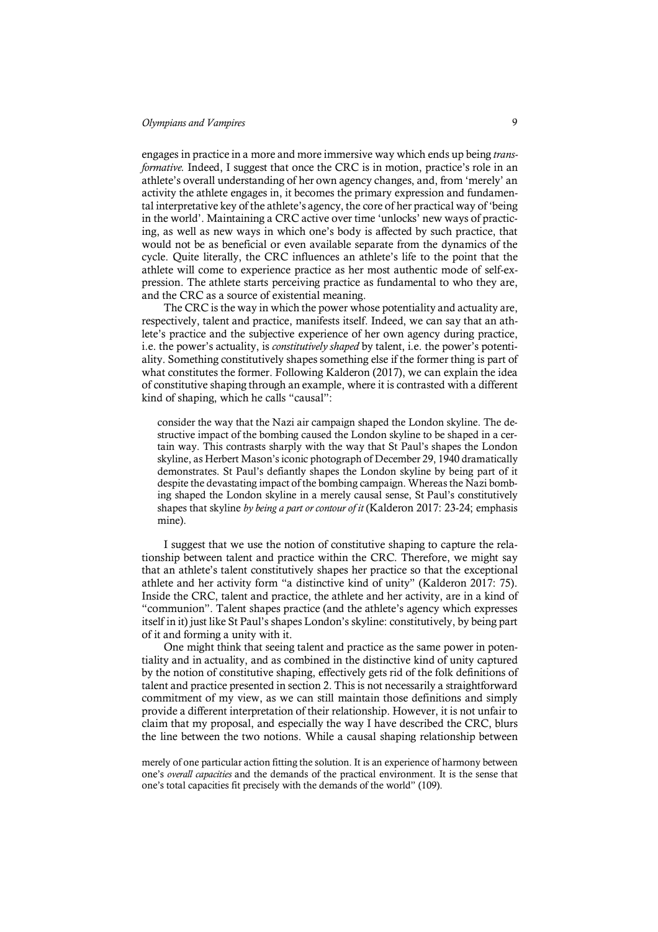engages in practice in a more and more immersive way which ends up being *transformative.* Indeed, I suggest that once the CRC is in motion, practice's role in an athlete's overall understanding of her own agency changes, and, from 'merely' an activity the athlete engages in, it becomes the primary expression and fundamental interpretative key of the athlete's agency, the core of her practical way of 'being in the world'. Maintaining a CRC active over time 'unlocks' new ways of practicing, as well as new ways in which one's body is affected by such practice, that would not be as beneficial or even available separate from the dynamics of the cycle. Quite literally, the CRC influences an athlete's life to the point that the athlete will come to experience practice as her most authentic mode of self-expression. The athlete starts perceiving practice as fundamental to who they are, and the CRC as a source of existential meaning.

The CRC is the way in which the power whose potentiality and actuality are, respectively, talent and practice, manifests itself. Indeed, we can say that an athlete's practice and the subjective experience of her own agency during practice, i.e. the power's actuality, is *constitutively shaped* by talent, i.e. the power's potentiality. Something constitutively shapes something else if the former thing is part of what constitutes the former. Following Kalderon (2017), we can explain the idea of constitutive shaping through an example, where it is contrasted with a different kind of shaping, which he calls "causal":

consider the way that the Nazi air campaign shaped the London skyline. The destructive impact of the bombing caused the London skyline to be shaped in a certain way. This contrasts sharply with the way that St Paul's shapes the London skyline, as Herbert Mason's iconic photograph of December 29, 1940 dramatically demonstrates. St Paul's defiantly shapes the London skyline by being part of it despite the devastating impact of the bombing campaign. Whereas the Nazi bombing shaped the London skyline in a merely causal sense, St Paul's constitutively shapes that skyline *by being a part or contour of it* (Kalderon 2017: 23-24; emphasis mine).

I suggest that we use the notion of constitutive shaping to capture the relationship between talent and practice within the CRC. Therefore, we might say that an athlete's talent constitutively shapes her practice so that the exceptional athlete and her activity form "a distinctive kind of unity" (Kalderon 2017: 75). Inside the CRC, talent and practice, the athlete and her activity, are in a kind of "communion". Talent shapes practice (and the athlete's agency which expresses itself in it) just like St Paul's shapes London's skyline: constitutively, by being part of it and forming a unity with it.

One might think that seeing talent and practice as the same power in potentiality and in actuality, and as combined in the distinctive kind of unity captured by the notion of constitutive shaping, effectively gets rid of the folk definitions of talent and practice presented in section 2. This is not necessarily a straightforward commitment of my view, as we can still maintain those definitions and simply provide a different interpretation of their relationship. However, it is not unfair to claim that my proposal, and especially the way I have described the CRC, blurs the line between the two notions. While a causal shaping relationship between

merely of one particular action fitting the solution. It is an experience of harmony between one's *overall capacities* and the demands of the practical environment. It is the sense that one's total capacities fit precisely with the demands of the world" (109).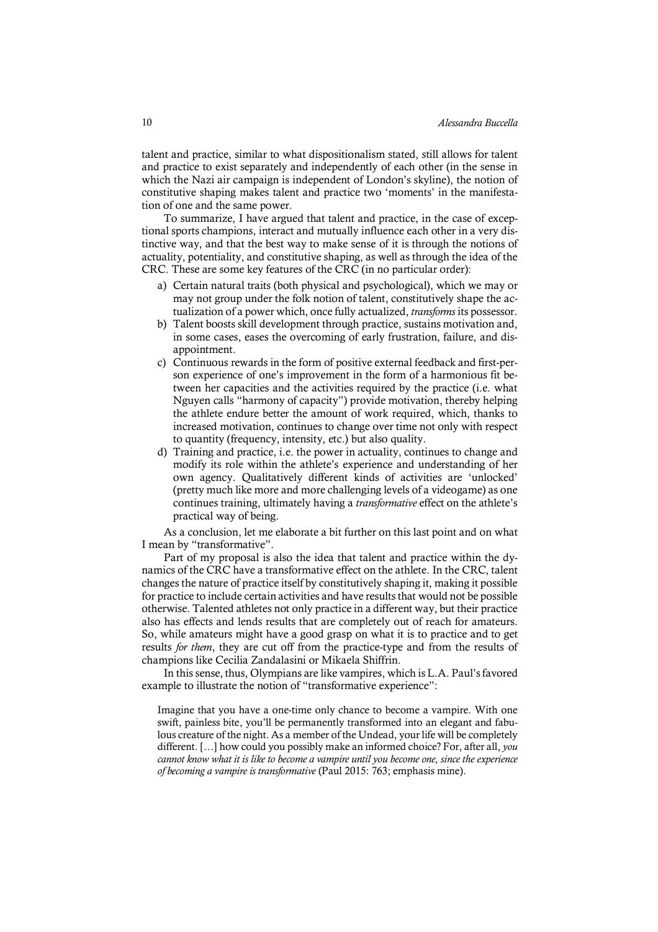talent and practice, similar to what dispositionalism stated, still allows for talent and practice to exist separately and independently of each other (in the sense in which the Nazi air campaign is independent of London's skyline), the notion of constitutive shaping makes talent and practice two 'moments' in the manifestation of one and the same power.

To summarize, I have argued that talent and practice, in the case of exceptional sports champions, interact and mutually influence each other in a very distinctive way, and that the best way to make sense of it is through the notions of actuality, potentiality, and constitutive shaping, as well as through the idea of the CRC. These are some key features of the CRC (in no particular order):

- a) Certain natural traits (both physical and psychological), which we may or may not group under the folk notion of talent, constitutively shape the actualization of a power which, once fully actualized, *transforms* its possessor.
- b) Talent boosts skill development through practice, sustains motivation and, in some cases, eases the overcoming of early frustration, failure, and disappointment.
- c) Continuous rewards in the form of positive external feedback and first-person experience of one's improvement in the form of a harmonious fit between her capacities and the activities required by the practice (i.e. what Nguyen calls "harmony of capacity") provide motivation, thereby helping the athlete endure better the amount of work required, which, thanks to increased motivation, continues to change over time not only with respect to quantity (frequency, intensity, etc.) but also quality.
- d) Training and practice, i.e. the power in actuality, continues to change and modify its role within the athlete's experience and understanding of her own agency. Qualitatively different kinds of activities are 'unlocked' (pretty much like more and more challenging levels of a videogame) as one continues training, ultimately having a *transformative* effect on the athlete's practical way of being.

As a conclusion, let me elaborate a bit further on this last point and on what I mean by "transformative".

Part of my proposal is also the idea that talent and practice within the dynamics of the CRC have a transformative effect on the athlete. In the CRC, talent changes the nature of practice itself by constitutively shaping it, making it possible for practice to include certain activities and have results that would not be possible otherwise. Talented athletes not only practice in a different way, but their practice also has effects and lends results that are completely out of reach for amateurs. So, while amateurs might have a good grasp on what it is to practice and to get results *for them*, they are cut off from the practice-type and from the results of champions like Cecilia Zandalasini or Mikaela Shiffrin.

In this sense, thus, Olympians are like vampires, which is L.A. Paul's favored example to illustrate the notion of "transformative experience":

Imagine that you have a one-time only chance to become a vampire. With one swift, painless bite, you'll be permanently transformed into an elegant and fabulous creature of the night. As a member of the Undead, your life will be completely different. […] how could you possibly make an informed choice? For, after all, *you cannot know what it is like to become a vampire until you become one, since the experience of becoming a vampire is transformative* (Paul 2015: 763; emphasis mine).